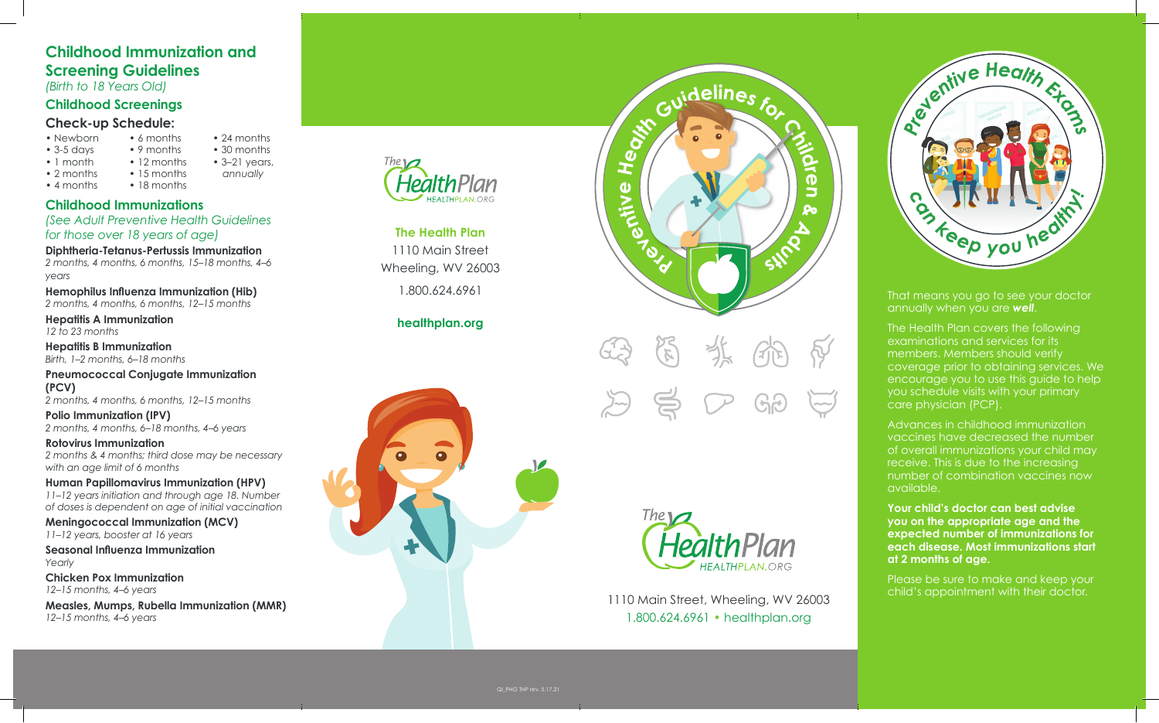# **Childhood Immunization and Screening Guidelines**

• 6 months • 9 months • 12 months

• 24 months • 30 months • 3–21 years, *annually*

*(Birth to 18 Years Old)*

# **Childhood Screenings**

# **Check-up Schedule:**

- Newborn
- $\bullet$  3-5 days
- 1 month
- 2 months
- 15 months

• 4 months • 18 months

**Childhood Immunizations**

*(See Adult Preventive Health Guidelines for those over 18 years of age)*

**Diphtheria-Tetanus-Pertussis Immunization**

*2 months, 4 months, 6 months, 15–18 months, 4–6 years*

**Hemophilus Influenza Immunization (Hib)** *2 months, 4 months, 6 months, 12–15 months*

**Hepatitis A Immunization** *12 to 23 months*

**Hepatitis B Immunization** *Birth, 1–2 months, 6–18 months*

**Pneumococcal Conjugate Immunization (PCV)**

*2 months, 4 months, 6 months, 12–15 months*

**Polio Immunization (IPV)** *2 months, 4 months, 6–18 months, 4–6 years*

**Rotovirus Immunization** *2 months & 4 months; third dose may be necessary with an age limit of 6 months*

**Human Papillomavirus Immunization (HPV)** *11–12 years initiation and through age 18. Number of doses is dependent on age of initial vaccination*

**Meningococcal Immunization (MCV)** *11–12 years, booster at 16 years*

**Seasonal Influenza Immunization** *Yearly*

**Chicken Pox Immunization** *12–15 months, 4–6 years*

**Measles, Mumps, Rubella Immunization (MMR)** *12–15 months, 4–6 years*



**The Health Plan** 1110 Main Street Wheeling, WV 26003 1.800.624.6961

# **healthplan.org**









1110 Main Street, Wheeling, WV 26003 1.800.624.6961 • healthplan.org



That means you go to see your doctor annually when you are *well*.

The Health Plan covers the following examinations and services for its members. Members should verify coverage prior to obtaining services. We encourage you to use this guide to help you schedule visits with your primary care physician (PCP).

Advances in childhood immunization vaccines have decreased the number of overall immunizations your child may receive. This is due to the increasing number of combination vaccines now available.

**Your child's doctor can best advise you on the appropriate age and the expected number of immunizations for each disease. Most immunizations start at 2 months of age.**

Please be sure to make and keep your child's appointment with their doctor.